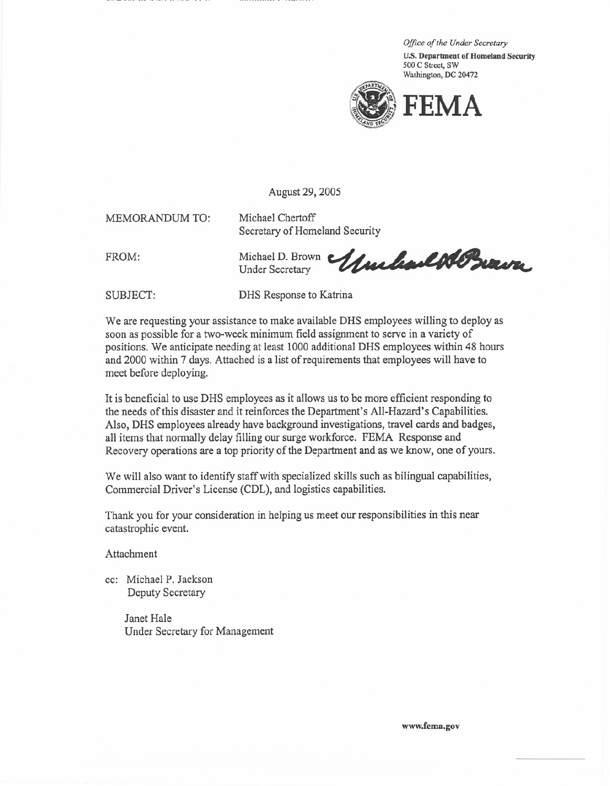*Office of the Under Secretary* 

U.S. Department of Homeland Security 500 C Street, SW Washington, DC 20472



#### August 29,2005

MEMORANDUM TO: Michael Chertoff

Secretary of Homeland Security

FROM: Michael D. Brown Muchael New York Under Secretary

SUBJECT: DHS Response to Katrina

We are requesting your assistance to make available DHS employees willing to deploy as soon as possible for a two-week minimum field assignment to serve in a variety of positions. We anticipate needing at least 1000 additional DHS employees within 48 hours and 2000 within 7 days. Attached is a list of requirements that employees will have to meet before deploying.

It is beneficial to use DHS employees as it allows us to be more efficient responding to the needs of this disaster and it reinforces the Department's All-Hazard's Capabilities. Also, DHS employees already have background investigations, travel cards and badges, all items that nonnally delay filling our surge workforce. FEMA Response and Recovery operations are a top priority of the Department and as we know, one of yours.

We will also want to identify staff with specialized skills such as bilingual capabilities, Commercial Driver's License (CDL), and logistics capabilities.

Thank you for your consideration in helping us meet our responsibilities in this near catastrophic event.

Attachment

cc: Michael P. Jackson Deputy Secretary

> Janet Hale Under Secretary for Management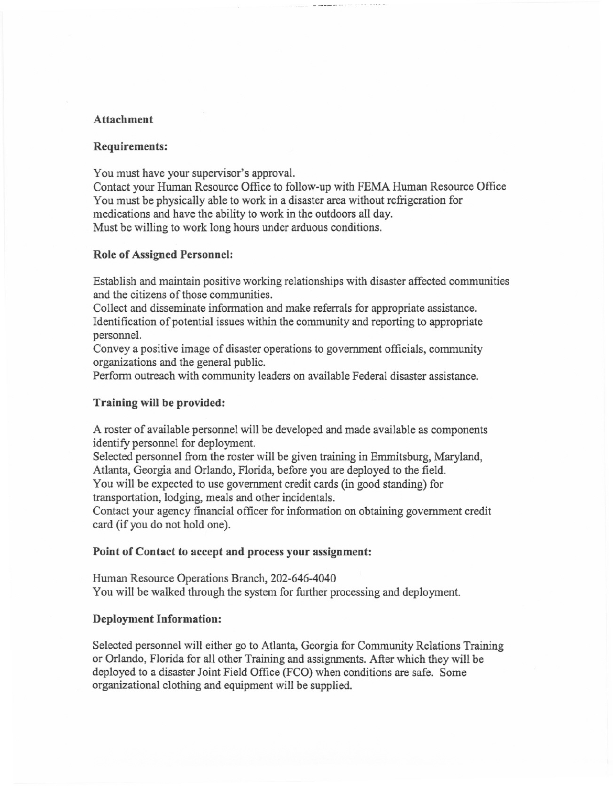## Attachment

### Requirements:

You must have your supervisor's approval.

Contact your Human Resource Office to follow-upwith FEMA Human Resource Office You must be physically able to work in a disaster area without refrigeration for medications and have the ability to work in the outdoors all day. Must be willing to work long hours under arduous conditions.

#### Role of Assigned Personnel:

Establish and maintain positive working relationships with disaster affected communities and the citizens of those communities.

Collect and disseminate information and make referrals for appropriate assistance. Identification of potential issues within the community and reporting to appropriate personnel.

Convey a positive image of disaster operations to government officials, community organizations and the general public.

Perform outreach with community leaders on available Federal disaster assistance.

### Training will be provided:

A roster of available personnel will be developed and made available as components identify personnel for deployment.

Selected personnel from the roster will be given training in Emmitsburg, Maryland, Atlanta, Georgia and Orlando, Florida, before you are deployed to the field.

You will be expected to use government credit cards (in good standing) for transportation, lodging, meals and other incidentals.

Contact your agency financial officer for information on obtaining government credit card (if you do not hold one).

### Point of Contact to accept and process your assignment:

Human Resource Operations Branch, 202-646-4040 You will be walked through the system for further processing and deployment.

#### Deployment Information:

Selected personnel will either go to Atlanta, Georgia for Community Relations Training or Orlando, Florida for all other Training and assignments.After which they will be deployed to a disaster Joint Field Office (FCO) when conditions are safe. Some organizational clothing and equipment will be supplied.